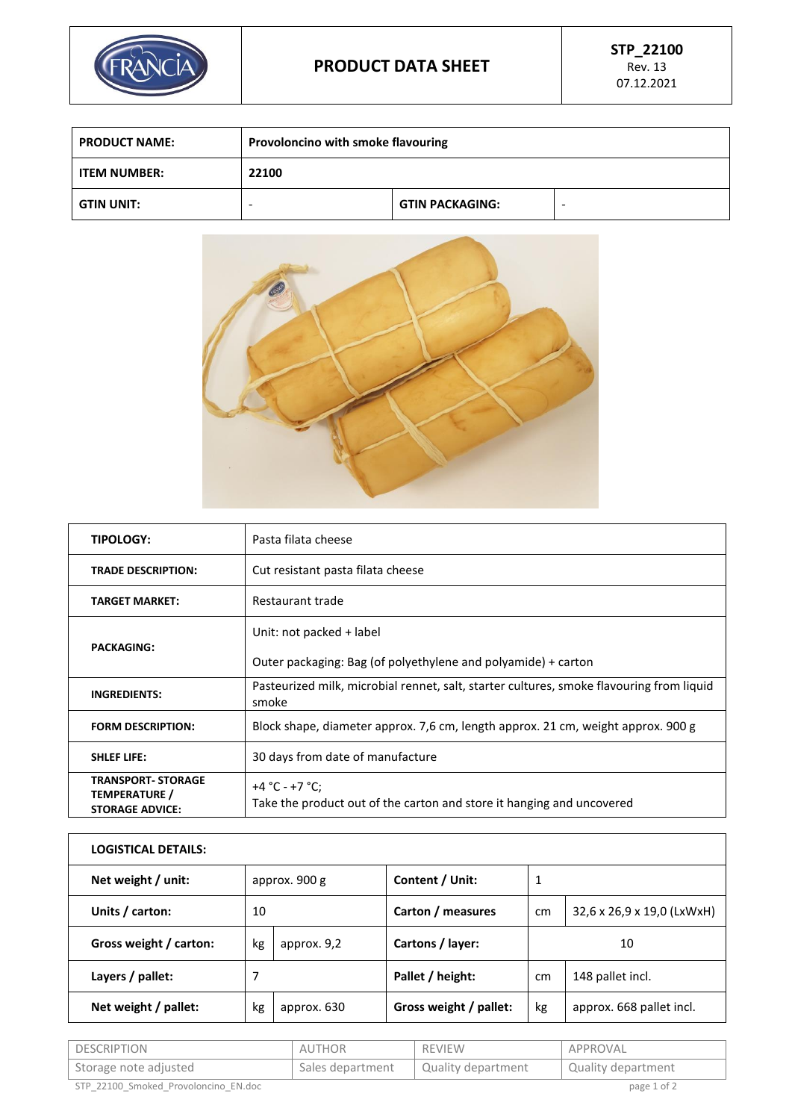

| <b>PRODUCT NAME:</b> | Provoloncino with smoke flavouring |                        |  |
|----------------------|------------------------------------|------------------------|--|
| <b>ITEM NUMBER:</b>  | 22100                              |                        |  |
| <b>GTIN UNIT:</b>    | -                                  | <b>GTIN PACKAGING:</b> |  |



| <b>TIPOLOGY:</b>                                                     | Pasta filata cheese                                                                               |
|----------------------------------------------------------------------|---------------------------------------------------------------------------------------------------|
| <b>TRADE DESCRIPTION:</b>                                            | Cut resistant pasta filata cheese                                                                 |
| <b>TARGET MARKET:</b>                                                | Restaurant trade                                                                                  |
|                                                                      | Unit: not packed + label                                                                          |
| <b>PACKAGING:</b>                                                    | Outer packaging: Bag (of polyethylene and polyamide) + carton                                     |
| <b>INGREDIENTS:</b>                                                  | Pasteurized milk, microbial rennet, salt, starter cultures, smoke flavouring from liquid<br>smoke |
| <b>FORM DESCRIPTION:</b>                                             | Block shape, diameter approx. 7,6 cm, length approx. 21 cm, weight approx. 900 g                  |
| <b>SHLEF LIFE:</b>                                                   | 30 days from date of manufacture                                                                  |
| <b>TRANSPORT- STORAGE</b><br>TEMPERATURE /<br><b>STORAGE ADVICE:</b> | +4 °C - +7 °C;<br>Take the product out of the carton and store it hanging and uncovered           |

| <b>LOGISTICAL DETAILS:</b> |               |             |                        |    |                            |
|----------------------------|---------------|-------------|------------------------|----|----------------------------|
| Net weight / unit:         | approx. 900 g |             | Content / Unit:        | 1  |                            |
| Units / carton:            | 10            |             | Carton / measures      | cm | 32,6 x 26,9 x 19,0 (LxWxH) |
| Gross weight / carton:     | kg            | approx. 9,2 | Cartons / layer:       |    | 10                         |
| Layers / pallet:           | 7             |             | Pallet / height:       | cm | 148 pallet incl.           |
| Net weight / pallet:       | kg            | approx. 630 | Gross weight / pallet: | kg | approx. 668 pallet incl.   |
|                            |               |             |                        |    |                            |

| I DESCRIPTION                        | AUTHOR           | REVIEW             | APPROVAL           |
|--------------------------------------|------------------|--------------------|--------------------|
| Storage note adjusted                | Sales department | Quality department | Quality department |
| STP 22100 Smoked Provoloncino EN.doc |                  |                    | page 1 of 2        |